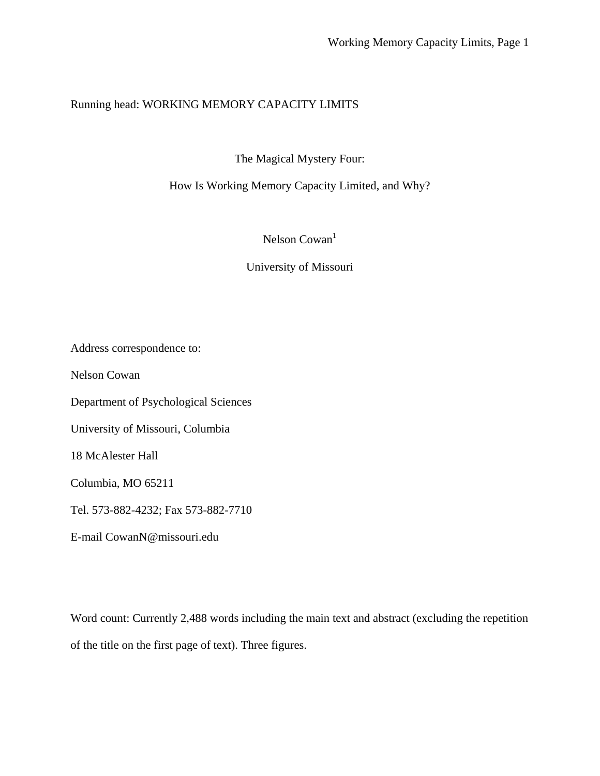## Running head: WORKING MEMORY CAPACITY LIMITS

The Magical Mystery Four:

How Is Working Memory Capacity Limited, and Why?

Nelson  $Cowan<sup>1</sup>$ 

University of Missouri

Address correspondence to:

Nelson Cowan

Department of Psychological Sciences

University of Missouri, Columbia

18 McAlester Hall

Columbia, MO 65211

Tel. 573-882-4232; Fax 573-882-7710

E-mail CowanN@missouri.edu

Word count: Currently 2,488 words including the main text and abstract (excluding the repetition of the title on the first page of text). Three figures.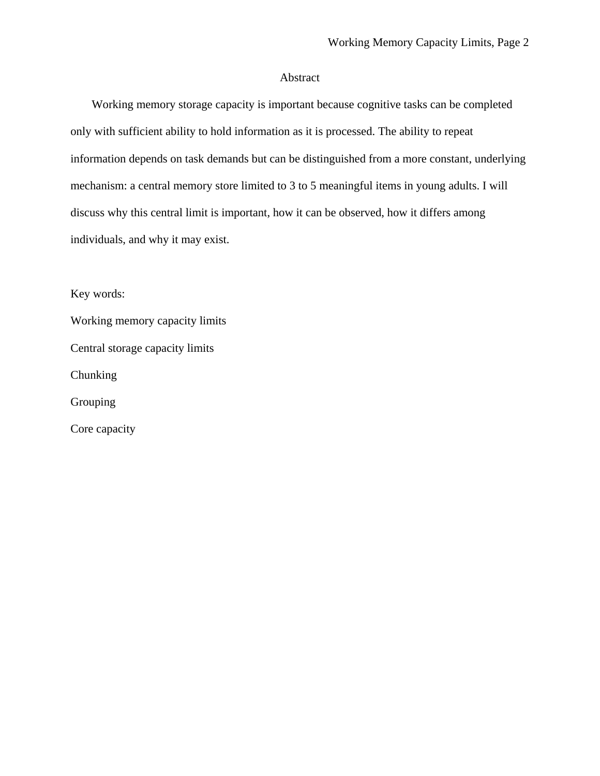### Abstract

 Working memory storage capacity is important because cognitive tasks can be completed only with sufficient ability to hold information as it is processed. The ability to repeat information depends on task demands but can be distinguished from a more constant, underlying mechanism: a central memory store limited to 3 to 5 meaningful items in young adults. I will discuss why this central limit is important, how it can be observed, how it differs among individuals, and why it may exist.

Key words:

Working memory capacity limits Central storage capacity limits Chunking Grouping Core capacity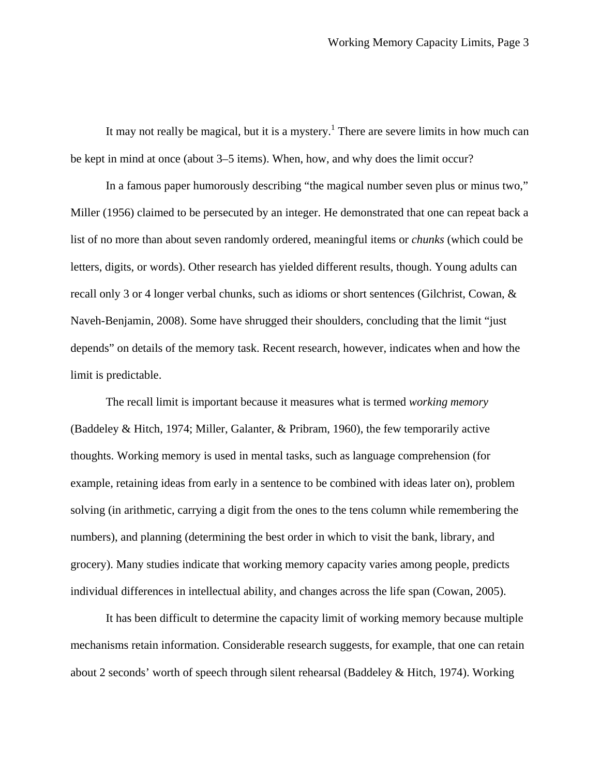It may not really be magical, but it is a mystery.<sup>1</sup> There are severe limits in how much can be kept in mind at once (about 3–5 items). When, how, and why does the limit occur?

In a famous paper humorously describing "the magical number seven plus or minus two," Miller (1956) claimed to be persecuted by an integer. He demonstrated that one can repeat back a list of no more than about seven randomly ordered, meaningful items or *chunks* (which could be letters, digits, or words). Other research has yielded different results, though. Young adults can recall only 3 or 4 longer verbal chunks, such as idioms or short sentences (Gilchrist, Cowan, & Naveh-Benjamin, 2008). Some have shrugged their shoulders, concluding that the limit "just depends" on details of the memory task. Recent research, however, indicates when and how the limit is predictable.

The recall limit is important because it measures what is termed *working memory* (Baddeley & Hitch, 1974; Miller, Galanter, & Pribram, 1960), the few temporarily active thoughts. Working memory is used in mental tasks, such as language comprehension (for example, retaining ideas from early in a sentence to be combined with ideas later on), problem solving (in arithmetic, carrying a digit from the ones to the tens column while remembering the numbers), and planning (determining the best order in which to visit the bank, library, and grocery). Many studies indicate that working memory capacity varies among people, predicts individual differences in intellectual ability, and changes across the life span (Cowan, 2005).

It has been difficult to determine the capacity limit of working memory because multiple mechanisms retain information. Considerable research suggests, for example, that one can retain about 2 seconds' worth of speech through silent rehearsal (Baddeley & Hitch, 1974). Working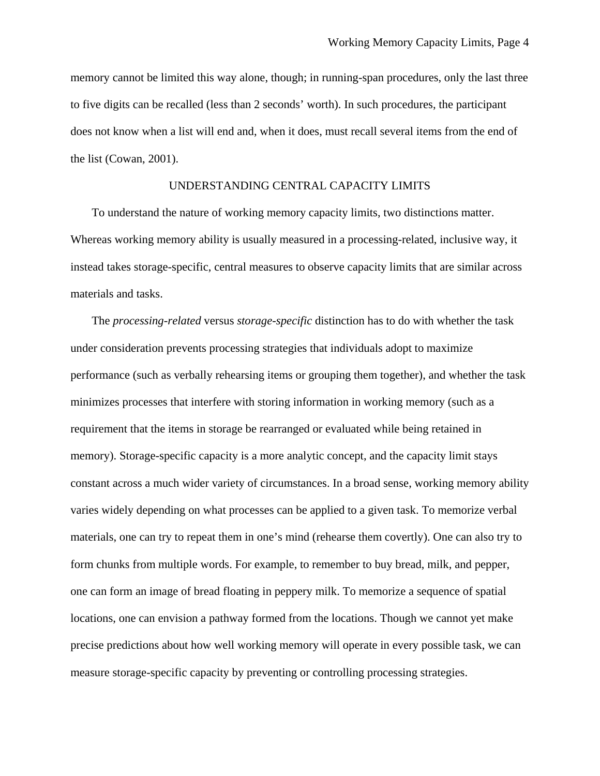memory cannot be limited this way alone, though; in running-span procedures, only the last three to five digits can be recalled (less than 2 seconds' worth). In such procedures, the participant does not know when a list will end and, when it does, must recall several items from the end of the list (Cowan, 2001).

### UNDERSTANDING CENTRAL CAPACITY LIMITS

 To understand the nature of working memory capacity limits, two distinctions matter. Whereas working memory ability is usually measured in a processing-related, inclusive way, it instead takes storage-specific, central measures to observe capacity limits that are similar across materials and tasks.

The *processing-related* versus *storage-specific* distinction has to do with whether the task under consideration prevents processing strategies that individuals adopt to maximize performance (such as verbally rehearsing items or grouping them together), and whether the task minimizes processes that interfere with storing information in working memory (such as a requirement that the items in storage be rearranged or evaluated while being retained in memory). Storage-specific capacity is a more analytic concept, and the capacity limit stays constant across a much wider variety of circumstances. In a broad sense, working memory ability varies widely depending on what processes can be applied to a given task. To memorize verbal materials, one can try to repeat them in one's mind (rehearse them covertly). One can also try to form chunks from multiple words. For example, to remember to buy bread, milk, and pepper, one can form an image of bread floating in peppery milk. To memorize a sequence of spatial locations, one can envision a pathway formed from the locations. Though we cannot yet make precise predictions about how well working memory will operate in every possible task, we can measure storage-specific capacity by preventing or controlling processing strategies.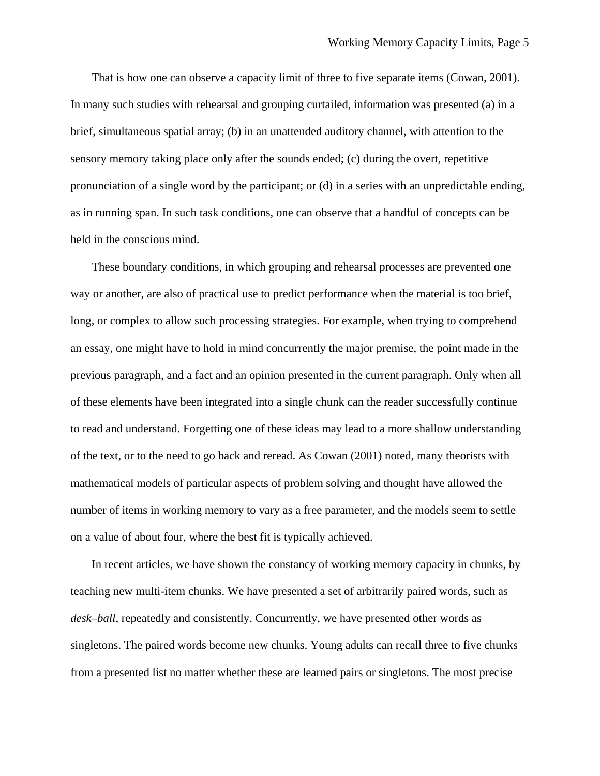That is how one can observe a capacity limit of three to five separate items (Cowan, 2001). In many such studies with rehearsal and grouping curtailed, information was presented (a) in a brief, simultaneous spatial array; (b) in an unattended auditory channel, with attention to the sensory memory taking place only after the sounds ended; (c) during the overt, repetitive pronunciation of a single word by the participant; or (d) in a series with an unpredictable ending, as in running span. In such task conditions, one can observe that a handful of concepts can be held in the conscious mind.

 These boundary conditions, in which grouping and rehearsal processes are prevented one way or another, are also of practical use to predict performance when the material is too brief, long, or complex to allow such processing strategies. For example, when trying to comprehend an essay, one might have to hold in mind concurrently the major premise, the point made in the previous paragraph, and a fact and an opinion presented in the current paragraph. Only when all of these elements have been integrated into a single chunk can the reader successfully continue to read and understand. Forgetting one of these ideas may lead to a more shallow understanding of the text, or to the need to go back and reread. As Cowan (2001) noted, many theorists with mathematical models of particular aspects of problem solving and thought have allowed the number of items in working memory to vary as a free parameter, and the models seem to settle on a value of about four, where the best fit is typically achieved.

 In recent articles, we have shown the constancy of working memory capacity in chunks, by teaching new multi-item chunks. We have presented a set of arbitrarily paired words, such as *desk*–*ball*, repeatedly and consistently. Concurrently, we have presented other words as singletons. The paired words become new chunks. Young adults can recall three to five chunks from a presented list no matter whether these are learned pairs or singletons. The most precise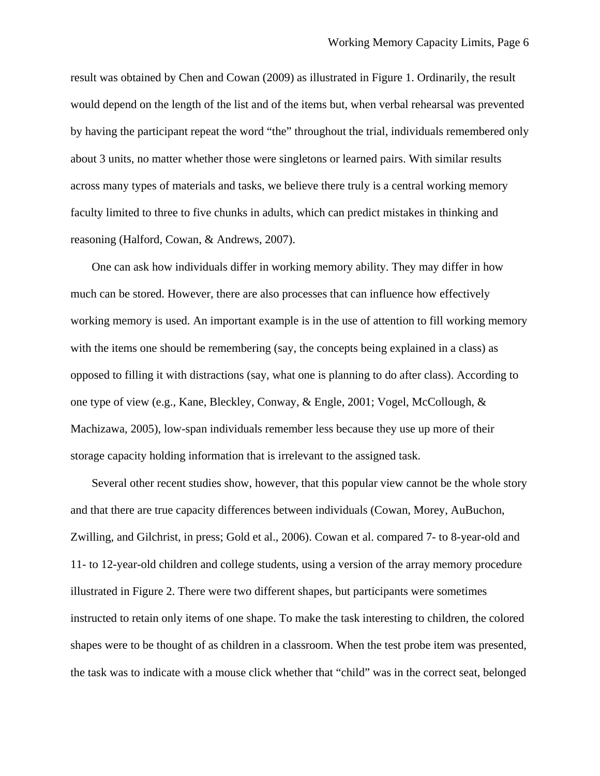result was obtained by Chen and Cowan (2009) as illustrated in Figure 1. Ordinarily, the result would depend on the length of the list and of the items but, when verbal rehearsal was prevented by having the participant repeat the word "the" throughout the trial, individuals remembered only about 3 units, no matter whether those were singletons or learned pairs. With similar results across many types of materials and tasks, we believe there truly is a central working memory faculty limited to three to five chunks in adults, which can predict mistakes in thinking and reasoning (Halford, Cowan, & Andrews, 2007).

One can ask how individuals differ in working memory ability. They may differ in how much can be stored. However, there are also processes that can influence how effectively working memory is used. An important example is in the use of attention to fill working memory with the items one should be remembering (say, the concepts being explained in a class) as opposed to filling it with distractions (say, what one is planning to do after class). According to one type of view (e.g., Kane, Bleckley, Conway, & Engle, 2001; Vogel, McCollough, & Machizawa, 2005), low-span individuals remember less because they use up more of their storage capacity holding information that is irrelevant to the assigned task.

Several other recent studies show, however, that this popular view cannot be the whole story and that there are true capacity differences between individuals (Cowan, Morey, AuBuchon, Zwilling, and Gilchrist, in press; Gold et al., 2006). Cowan et al. compared 7- to 8-year-old and 11- to 12-year-old children and college students, using a version of the array memory procedure illustrated in Figure 2. There were two different shapes, but participants were sometimes instructed to retain only items of one shape. To make the task interesting to children, the colored shapes were to be thought of as children in a classroom. When the test probe item was presented, the task was to indicate with a mouse click whether that "child" was in the correct seat, belonged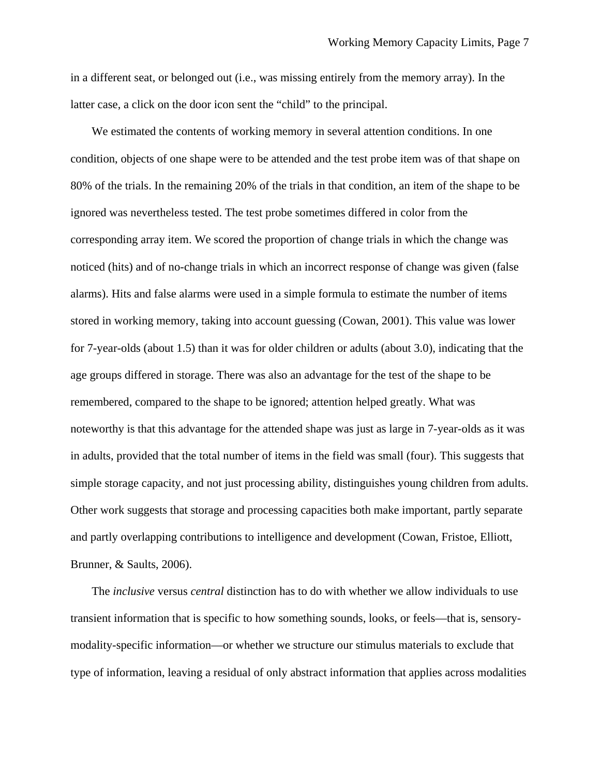in a different seat, or belonged out (i.e., was missing entirely from the memory array). In the latter case, a click on the door icon sent the "child" to the principal.

 We estimated the contents of working memory in several attention conditions. In one condition, objects of one shape were to be attended and the test probe item was of that shape on 80% of the trials. In the remaining 20% of the trials in that condition, an item of the shape to be ignored was nevertheless tested. The test probe sometimes differed in color from the corresponding array item. We scored the proportion of change trials in which the change was noticed (hits) and of no-change trials in which an incorrect response of change was given (false alarms). Hits and false alarms were used in a simple formula to estimate the number of items stored in working memory, taking into account guessing (Cowan, 2001). This value was lower for 7-year-olds (about 1.5) than it was for older children or adults (about 3.0), indicating that the age groups differed in storage. There was also an advantage for the test of the shape to be remembered, compared to the shape to be ignored; attention helped greatly. What was noteworthy is that this advantage for the attended shape was just as large in 7-year-olds as it was in adults, provided that the total number of items in the field was small (four). This suggests that simple storage capacity, and not just processing ability, distinguishes young children from adults. Other work suggests that storage and processing capacities both make important, partly separate and partly overlapping contributions to intelligence and development (Cowan, Fristoe, Elliott, Brunner, & Saults, 2006).

The *inclusive* versus *central* distinction has to do with whether we allow individuals to use transient information that is specific to how something sounds, looks, or feels—that is, sensorymodality-specific information—or whether we structure our stimulus materials to exclude that type of information, leaving a residual of only abstract information that applies across modalities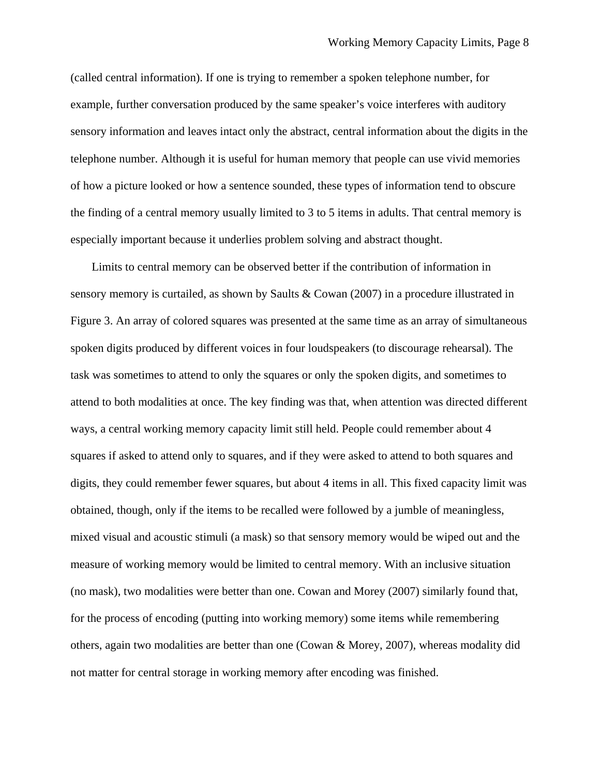(called central information). If one is trying to remember a spoken telephone number, for example, further conversation produced by the same speaker's voice interferes with auditory sensory information and leaves intact only the abstract, central information about the digits in the telephone number. Although it is useful for human memory that people can use vivid memories of how a picture looked or how a sentence sounded, these types of information tend to obscure the finding of a central memory usually limited to 3 to 5 items in adults. That central memory is especially important because it underlies problem solving and abstract thought.

 Limits to central memory can be observed better if the contribution of information in sensory memory is curtailed, as shown by Saults & Cowan (2007) in a procedure illustrated in Figure 3. An array of colored squares was presented at the same time as an array of simultaneous spoken digits produced by different voices in four loudspeakers (to discourage rehearsal). The task was sometimes to attend to only the squares or only the spoken digits, and sometimes to attend to both modalities at once. The key finding was that, when attention was directed different ways, a central working memory capacity limit still held. People could remember about 4 squares if asked to attend only to squares, and if they were asked to attend to both squares and digits, they could remember fewer squares, but about 4 items in all. This fixed capacity limit was obtained, though, only if the items to be recalled were followed by a jumble of meaningless, mixed visual and acoustic stimuli (a mask) so that sensory memory would be wiped out and the measure of working memory would be limited to central memory. With an inclusive situation (no mask), two modalities were better than one. Cowan and Morey (2007) similarly found that, for the process of encoding (putting into working memory) some items while remembering others, again two modalities are better than one (Cowan & Morey, 2007), whereas modality did not matter for central storage in working memory after encoding was finished.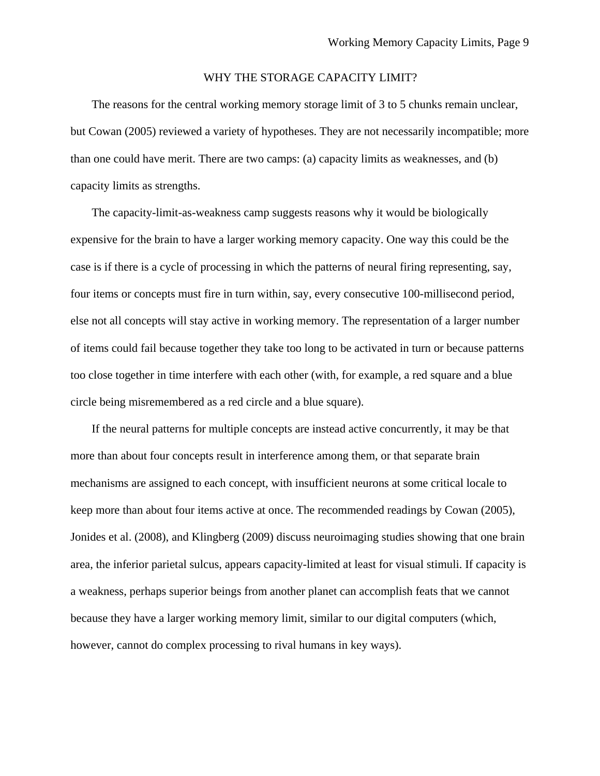### WHY THE STORAGE CAPACITY LIMIT?

 The reasons for the central working memory storage limit of 3 to 5 chunks remain unclear, but Cowan (2005) reviewed a variety of hypotheses. They are not necessarily incompatible; more than one could have merit. There are two camps: (a) capacity limits as weaknesses, and (b) capacity limits as strengths.

 The capacity-limit-as-weakness camp suggests reasons why it would be biologically expensive for the brain to have a larger working memory capacity. One way this could be the case is if there is a cycle of processing in which the patterns of neural firing representing, say, four items or concepts must fire in turn within, say, every consecutive 100-millisecond period, else not all concepts will stay active in working memory. The representation of a larger number of items could fail because together they take too long to be activated in turn or because patterns too close together in time interfere with each other (with, for example, a red square and a blue circle being misremembered as a red circle and a blue square).

If the neural patterns for multiple concepts are instead active concurrently, it may be that more than about four concepts result in interference among them, or that separate brain mechanisms are assigned to each concept, with insufficient neurons at some critical locale to keep more than about four items active at once. The recommended readings by Cowan (2005), Jonides et al. (2008), and Klingberg (2009) discuss neuroimaging studies showing that one brain area, the inferior parietal sulcus, appears capacity-limited at least for visual stimuli. If capacity is a weakness, perhaps superior beings from another planet can accomplish feats that we cannot because they have a larger working memory limit, similar to our digital computers (which, however, cannot do complex processing to rival humans in key ways).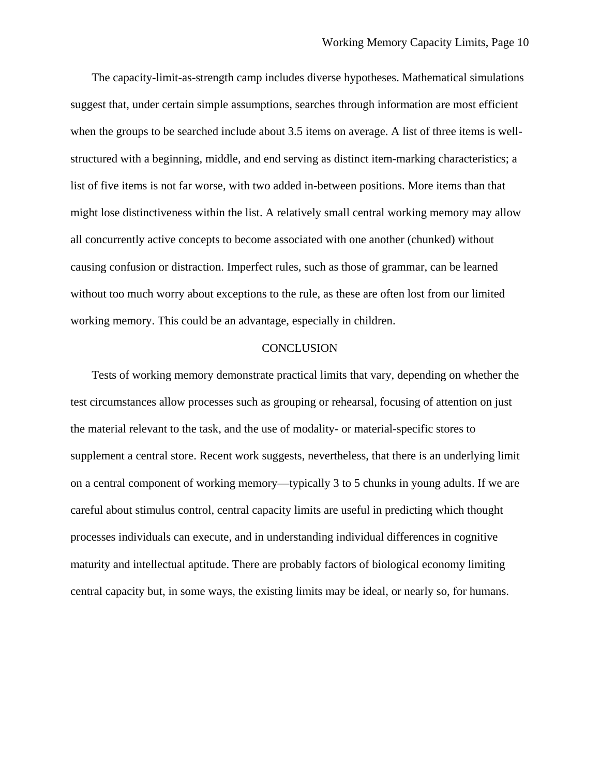The capacity-limit-as-strength camp includes diverse hypotheses. Mathematical simulations suggest that, under certain simple assumptions, searches through information are most efficient when the groups to be searched include about 3.5 items on average. A list of three items is wellstructured with a beginning, middle, and end serving as distinct item-marking characteristics; a list of five items is not far worse, with two added in-between positions. More items than that might lose distinctiveness within the list. A relatively small central working memory may allow all concurrently active concepts to become associated with one another (chunked) without causing confusion or distraction. Imperfect rules, such as those of grammar, can be learned without too much worry about exceptions to the rule, as these are often lost from our limited working memory. This could be an advantage, especially in children.

### **CONCLUSION**

 Tests of working memory demonstrate practical limits that vary, depending on whether the test circumstances allow processes such as grouping or rehearsal, focusing of attention on just the material relevant to the task, and the use of modality- or material-specific stores to supplement a central store. Recent work suggests, nevertheless, that there is an underlying limit on a central component of working memory—typically 3 to 5 chunks in young adults. If we are careful about stimulus control, central capacity limits are useful in predicting which thought processes individuals can execute, and in understanding individual differences in cognitive maturity and intellectual aptitude. There are probably factors of biological economy limiting central capacity but, in some ways, the existing limits may be ideal, or nearly so, for humans.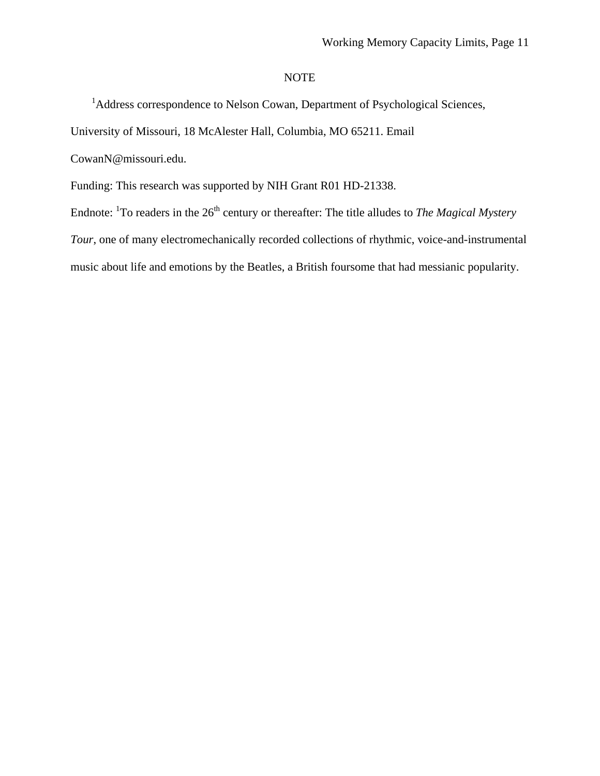## NOTE

<sup>1</sup>Address correspondence to Nelson Cowan, Department of Psychological Sciences,

University of Missouri, 18 McAlester Hall, Columbia, MO 65211. Email

CowanN@missouri.edu.

Funding: This research was supported by NIH Grant R01 HD-21338.

Endnote: <sup>1</sup>To readers in the 26<sup>th</sup> century or thereafter: The title alludes to *The Magical Mystery* 

*Tour*, one of many electromechanically recorded collections of rhythmic, voice-and-instrumental

music about life and emotions by the Beatles, a British foursome that had messianic popularity.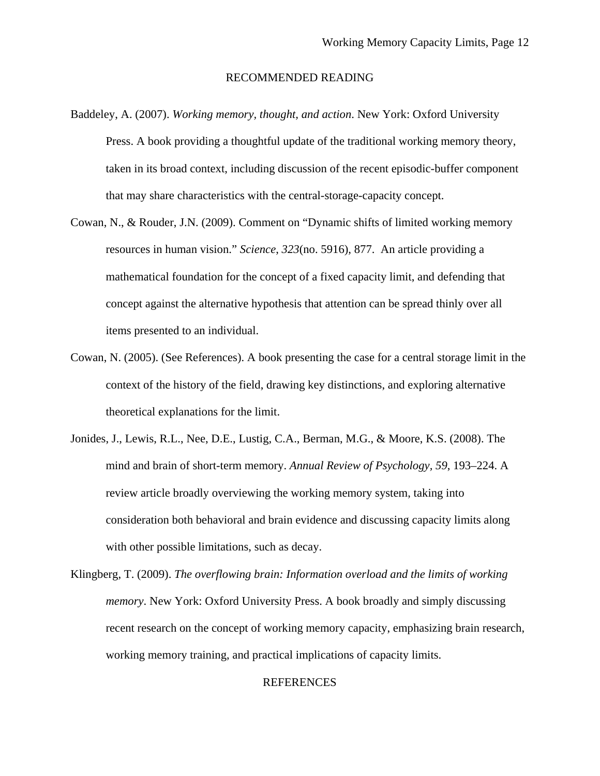#### RECOMMENDED READING

- Baddeley, A. (2007). *Working memory, thought, and action*. New York: Oxford University Press. A book providing a thoughtful update of the traditional working memory theory, taken in its broad context, including discussion of the recent episodic-buffer component that may share characteristics with the central-storage-capacity concept.
- Cowan, N., & Rouder, J.N. (2009). Comment on "Dynamic shifts of limited working memory resources in human vision." *Science*, *323*(no. 5916), 877. An article providing a mathematical foundation for the concept of a fixed capacity limit, and defending that concept against the alternative hypothesis that attention can be spread thinly over all items presented to an individual.
- Cowan, N. (2005). (See References). A book presenting the case for a central storage limit in the context of the history of the field, drawing key distinctions, and exploring alternative theoretical explanations for the limit.
- Jonides, J., Lewis, R.L., Nee, D.E., Lustig, C.A., Berman, M.G., & Moore, K.S. (2008). The mind and brain of short-term memory. *Annual Review of Psychology, 59*, 193–224. A review article broadly overviewing the working memory system, taking into consideration both behavioral and brain evidence and discussing capacity limits along with other possible limitations, such as decay.
- Klingberg, T. (2009). *The overflowing brain: Information overload and the limits of working memory*. New York: Oxford University Press. A book broadly and simply discussing recent research on the concept of working memory capacity, emphasizing brain research, working memory training, and practical implications of capacity limits.

### **REFERENCES**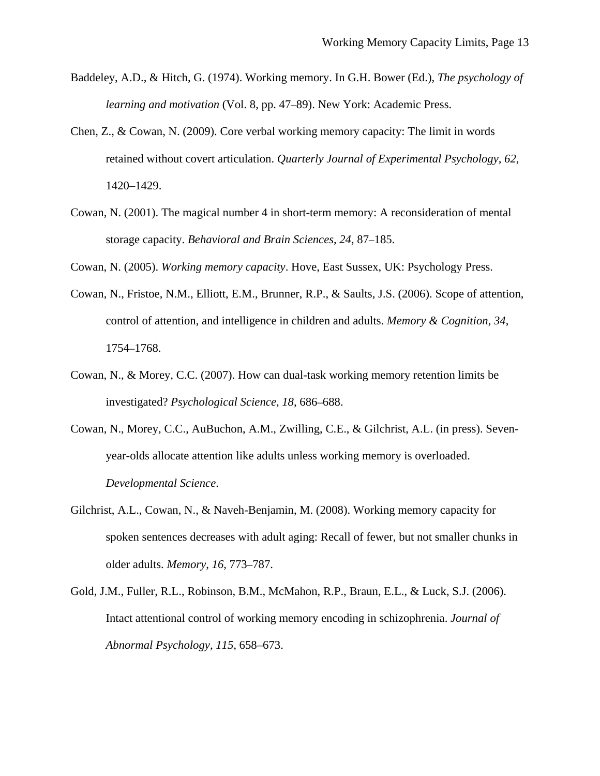- Baddeley, A.D., & Hitch, G. (1974). Working memory. In G.H. Bower (Ed.), *The psychology of learning and motivation* (Vol. 8, pp. 47–89). New York: Academic Press.
- Chen, Z., & Cowan, N. (2009). Core verbal working memory capacity: The limit in words retained without covert articulation. *Quarterly Journal of Experimental Psychology*, *62*, 1420–1429.
- Cowan, N. (2001). The magical number 4 in short-term memory: A reconsideration of mental storage capacity. *Behavioral and Brain Sciences*, *24*, 87–185.

Cowan, N. (2005). *Working memory capacity*. Hove, East Sussex, UK: Psychology Press.

- Cowan, N., Fristoe, N.M., Elliott, E.M., Brunner, R.P., & Saults, J.S. (2006). Scope of attention, control of attention, and intelligence in children and adults. *Memory & Cognition*, *34*, 1754–1768.
- Cowan, N., & Morey, C.C. (2007). How can dual-task working memory retention limits be investigated? *Psychological Science*, *18*, 686–688.
- Cowan, N., Morey, C.C., AuBuchon, A.M., Zwilling, C.E., & Gilchrist, A.L. (in press). Sevenyear-olds allocate attention like adults unless working memory is overloaded. *Developmental Science*.
- Gilchrist, A.L., Cowan, N., & Naveh-Benjamin, M. (2008). Working memory capacity for spoken sentences decreases with adult aging: Recall of fewer, but not smaller chunks in older adults. *Memory*, *16*, 773–787.
- Gold, J.M., Fuller, R.L., Robinson, B.M., McMahon, R.P., Braun, E.L., & Luck, S.J. (2006). Intact attentional control of working memory encoding in schizophrenia. *Journal of Abnormal Psychology*, *115*, 658–673.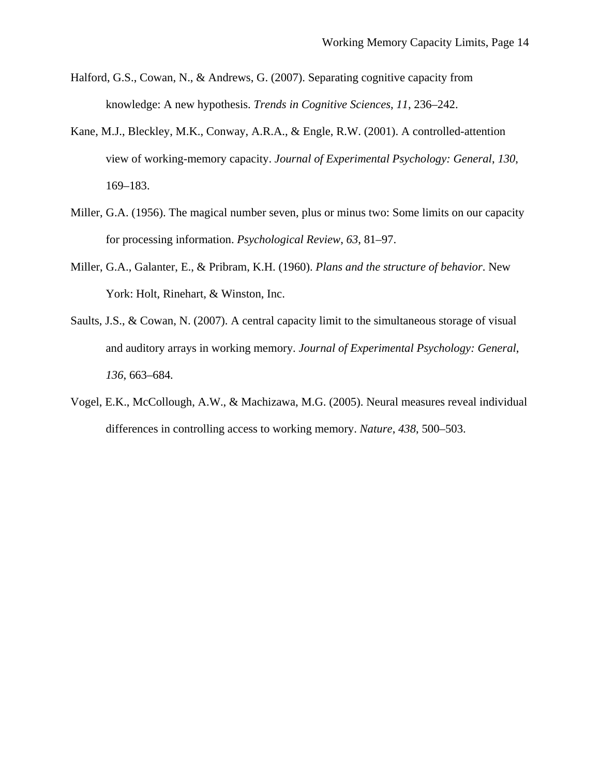- Halford, G.S., Cowan, N., & Andrews, G. (2007). Separating cognitive capacity from knowledge: A new hypothesis. *Trends in Cognitive Sciences*, *11*, 236–242.
- Kane, M.J., Bleckley, M.K., Conway, A.R.A., & Engle, R.W. (2001). A controlled-attention view of working-memory capacity. *Journal of Experimental Psychology: General*, *130*, 169–183.
- Miller, G.A. (1956). The magical number seven, plus or minus two: Some limits on our capacity for processing information. *Psychological Review*, *63*, 81–97.
- Miller, G.A., Galanter, E., & Pribram, K.H. (1960). *Plans and the structure of behavior*. New York: Holt, Rinehart, & Winston, Inc.
- Saults, J.S., & Cowan, N. (2007). A central capacity limit to the simultaneous storage of visual and auditory arrays in working memory. *Journal of Experimental Psychology: General*, *136*, 663–684*.*
- Vogel, E.K., McCollough, A.W., & Machizawa, M.G. (2005). Neural measures reveal individual differences in controlling access to working memory. *Nature*, *438*, 500–503.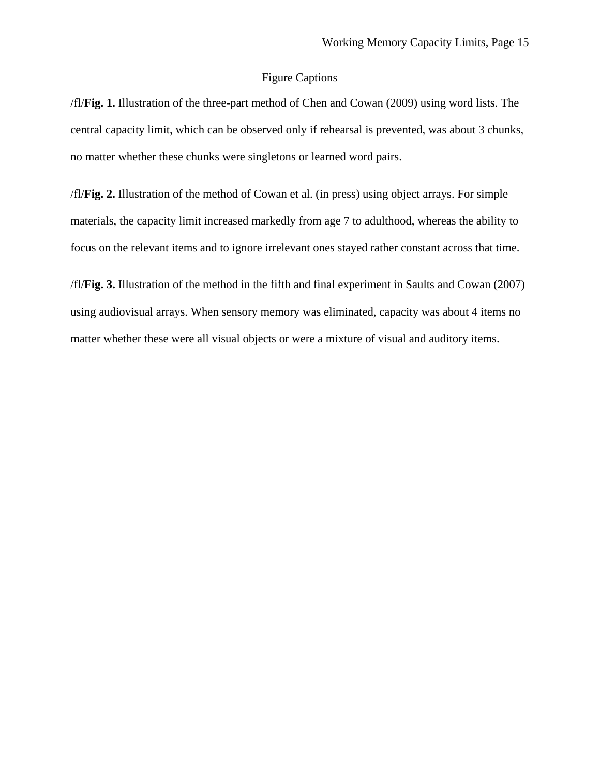### Figure Captions

/fl/**Fig. 1.** Illustration of the three-part method of Chen and Cowan (2009) using word lists. The central capacity limit, which can be observed only if rehearsal is prevented, was about 3 chunks, no matter whether these chunks were singletons or learned word pairs.

/fl/**Fig. 2.** Illustration of the method of Cowan et al. (in press) using object arrays. For simple materials, the capacity limit increased markedly from age 7 to adulthood, whereas the ability to focus on the relevant items and to ignore irrelevant ones stayed rather constant across that time.

/fl/**Fig. 3.** Illustration of the method in the fifth and final experiment in Saults and Cowan (2007) using audiovisual arrays. When sensory memory was eliminated, capacity was about 4 items no matter whether these were all visual objects or were a mixture of visual and auditory items.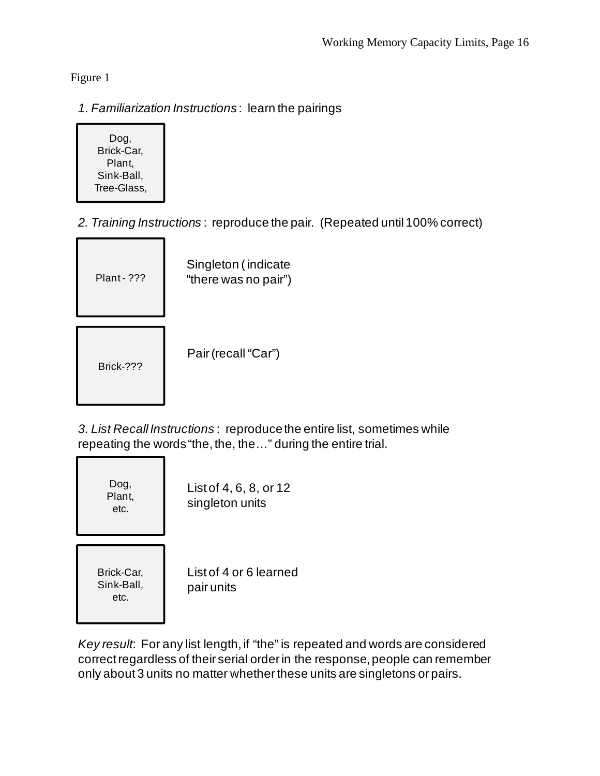Figure 1

*1. Familiarization Instructions* : learn the pairings



*2. Training Instructions* : reproduce the pair. (Repeated until 100% correct)



*3. List Recall Instructions* : reproduce the entire list, sometimes while repeating the words "the, the, the…" during the entire trial.



*Key result*: For any list length, if "the" is repeated and words are considered correct regardless of their serial order in the response, people can remember only about 3 units no matter whether these units are singletons or pairs.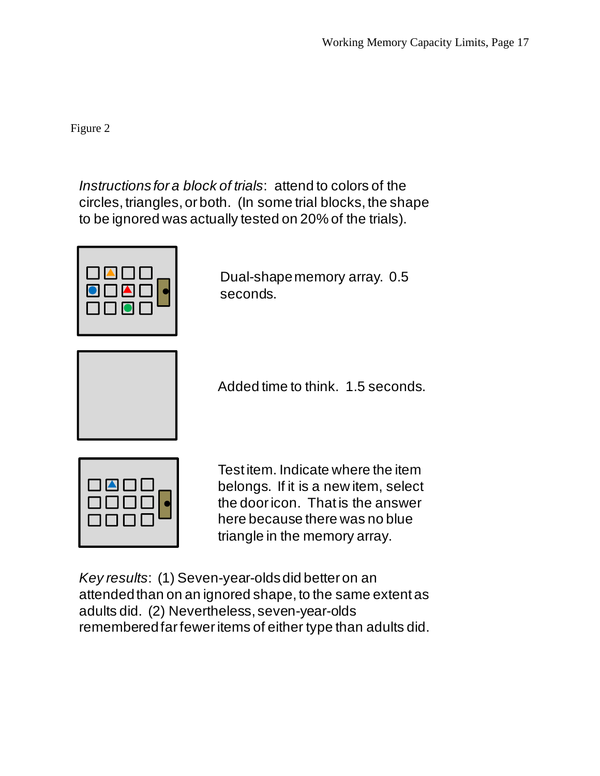Figure 2

*Instructions for a block of trials*: attend to colors of the circles, triangles, or both. (In some trial blocks, the shape to be ignored was actually tested on 20% of the trials).



Dual-shape memory array. 0.5 seconds.



Added time to think. 1.5 seconds.

Test item. Indicate where the item belongs. If it is a new item, select the door icon. That is the answer here because there was no blue triangle in the memory array.

*Key results*: (1) Seven-year-olds did better on an attended than on an ignored shape, to the same extent as adults did. (2) Nevertheless, seven-year-olds remembered far fewer items of either type than adults did.